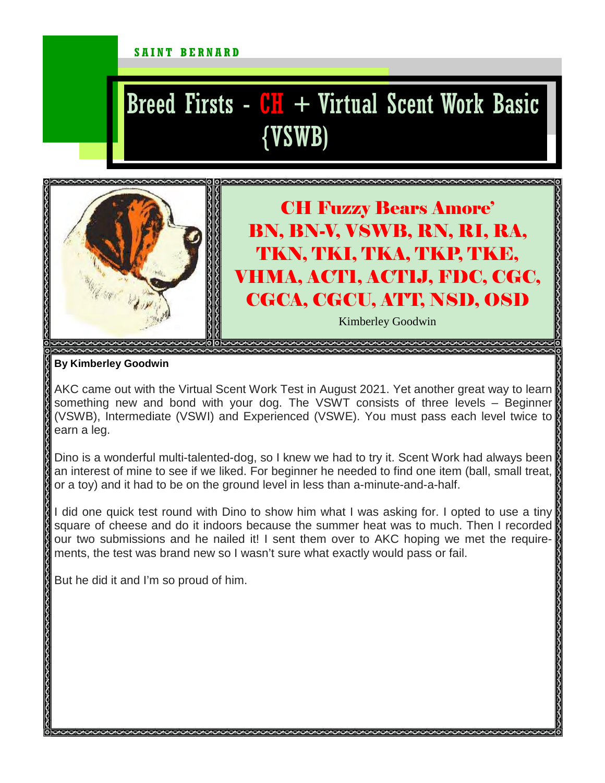#### SAINT BERNARD

# Breed Firsts -  $CH + Virtual$  Scent Work Basic {VSWB)



## CH Fuzzy Bears Amore' BN, BN-V, VSWB, RN, RI, RA, TKN, TKI, TKA, TKP, TKE, VHMA, ACT1, ACT1J, FDC, CGC, CGCA, CGCU, ATT, NSD, OSD

Kimberley Goodwin

#### **By Kimberley Goodwin**

AKC came out with the Virtual Scent Work Test in August 2021. Yet another great way to learn something new and bond with your dog. The VSWT consists of three levels – Beginner (VSWB), Intermediate (VSWI) and Experienced (VSWE). You must pass each level twice to earn a leg.

Dino is a wonderful multi-talented-dog, so I knew we had to try it. Scent Work had always been an interest of mine to see if we liked. For beginner he needed to find one item (ball, small treat, || or a toy) and it had to be on the ground level in less than a-minute-and-a-half.

I did one quick test round with Dino to show him what I was asking for. I opted to use a tiny square of cheese and do it indoors because the summer heat was to much. Then I recorded our two submissions and he nailed it! I sent them over to AKC hoping we met the requirements, the test was brand new so I wasn't sure what exactly would pass or fail.

But he did it and I'm so proud of him.